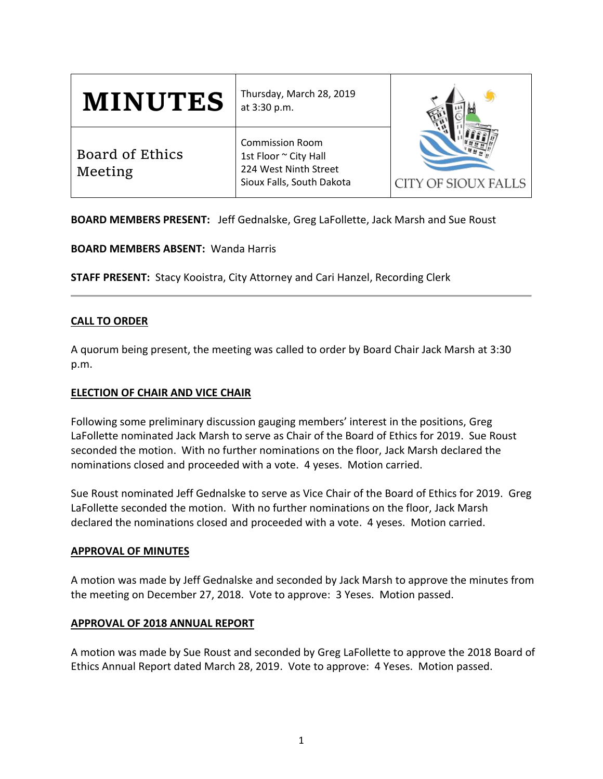| <b>MINUTES</b>             | Thursday, March 28, 2019<br>at 3:30 p.m.                                                              | <b>CITY OF SIOUX FALLS</b> |
|----------------------------|-------------------------------------------------------------------------------------------------------|----------------------------|
| Board of Ethics<br>Meeting | <b>Commission Room</b><br>1st Floor ~ City Hall<br>224 West Ninth Street<br>Sioux Falls, South Dakota |                            |

**BOARD MEMBERS PRESENT:** Jeff Gednalske, Greg LaFollette, Jack Marsh and Sue Roust

**BOARD MEMBERS ABSENT:** Wanda Harris

**STAFF PRESENT:** Stacy Kooistra, City Attorney and Cari Hanzel, Recording Clerk

# **CALL TO ORDER**

A quorum being present, the meeting was called to order by Board Chair Jack Marsh at 3:30 p.m.

# **ELECTION OF CHAIR AND VICE CHAIR**

Following some preliminary discussion gauging members' interest in the positions, Greg LaFollette nominated Jack Marsh to serve as Chair of the Board of Ethics for 2019. Sue Roust seconded the motion. With no further nominations on the floor, Jack Marsh declared the nominations closed and proceeded with a vote. 4 yeses. Motion carried.

Sue Roust nominated Jeff Gednalske to serve as Vice Chair of the Board of Ethics for 2019. Greg LaFollette seconded the motion. With no further nominations on the floor, Jack Marsh declared the nominations closed and proceeded with a vote. 4 yeses. Motion carried.

# **APPROVAL OF MINUTES**

A motion was made by Jeff Gednalske and seconded by Jack Marsh to approve the minutes from the meeting on December 27, 2018. Vote to approve: 3 Yeses. Motion passed.

# **APPROVAL OF 2018 ANNUAL REPORT**

A motion was made by Sue Roust and seconded by Greg LaFollette to approve the 2018 Board of Ethics Annual Report dated March 28, 2019. Vote to approve: 4 Yeses. Motion passed.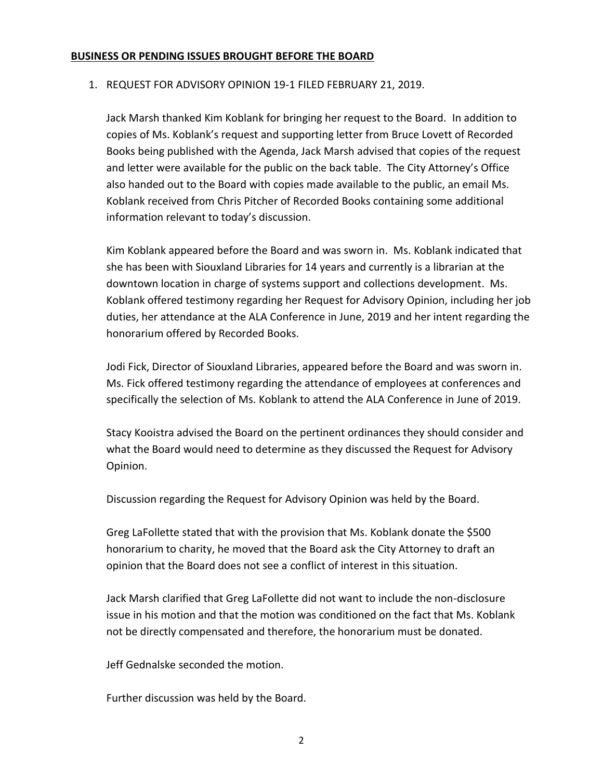## **BUSINESS OR PENDING ISSUES BROUGHT BEFORE THE BOARD**

## 1. REQUEST FOR ADVISORY OPINION 19-1 FILED FEBRUARY 21, 2019.

Jack Marsh thanked Kim Koblank for bringing her request to the Board. In addition to copies of Ms. Koblank's request and supporting letter from Bruce Lovett of Recorded Books being published with the Agenda, Jack Marsh advised that copies of the request and letter were available for the public on the back table. The City Attorney's Office also handed out to the Board with copies made available to the public, an email Ms. Koblank received from Chris Pitcher of Recorded Books containing some additional information relevant to today's discussion.

Kim Koblank appeared before the Board and was sworn in. Ms. Koblank indicated that she has been with Siouxland Libraries for 14 years and currently is a librarian at the downtown location in charge of systems support and collections development. Ms. Koblank offered testimony regarding her Request for Advisory Opinion, including her job duties, her attendance at the ALA Conference in June, 2019 and her intent regarding the honorarium offered by Recorded Books.

Jodi Fick, Director of Siouxland Libraries, appeared before the Board and was sworn in. Ms. Fick offered testimony regarding the attendance of employees at conferences and specifically the selection of Ms. Koblank to attend the ALA Conference in June of 2019.

Stacy Kooistra advised the Board on the pertinent ordinances they should consider and what the Board would need to determine as they discussed the Request for Advisory Opinion.

Discussion regarding the Request for Advisory Opinion was held by the Board.

Greg LaFollette stated that with the provision that Ms. Koblank donate the \$500 honorarium to charity, he moved that the Board ask the City Attorney to draft an opinion that the Board does not see a conflict of interest in this situation.

Jack Marsh clarified that Greg LaFollette did not want to include the non-disclosure issue in his motion and that the motion was conditioned on the fact that Ms. Koblank not be directly compensated and therefore, the honorarium must be donated.

Jeff Gednalske seconded the motion.

Further discussion was held by the Board.